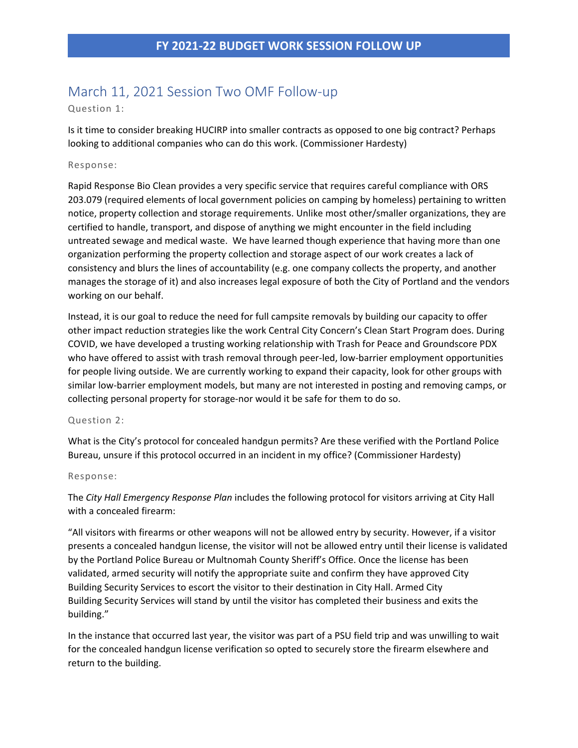# March 11, 2021 Session Two OMF Follow-up

# Question 1:

Is it time to consider breaking HUCIRP into smaller contracts as opposed to one big contract? Perhaps looking to additional companies who can do this work. (Commissioner Hardesty)

## Response:

Rapid Response Bio Clean provides a very specific service that requires careful compliance with ORS 203.079 (required elements of local government policies on camping by homeless) pertaining to written notice, property collection and storage requirements. Unlike most other/smaller organizations, they are certified to handle, transport, and dispose of anything we might encounter in the field including untreated sewage and medical waste. We have learned though experience that having more than one organization performing the property collection and storage aspect of our work creates a lack of consistency and blurs the lines of accountability (e.g. one company collects the property, and another manages the storage of it) and also increases legal exposure of both the City of Portland and the vendors working on our behalf.

Instead, it is our goal to reduce the need for full campsite removals by building our capacity to offer other impact reduction strategies like the work Central City Concern's Clean Start Program does. During COVID, we have developed a trusting working relationship with Trash for Peace and Groundscore PDX who have offered to assist with trash removal through peer-led, low-barrier employment opportunities for people living outside. We are currently working to expand their capacity, look for other groups with similar low-barrier employment models, but many are not interested in posting and removing camps, or collecting personal property for storage-nor would it be safe for them to do so.

## Question 2:

What is the City's protocol for concealed handgun permits? Are these verified with the Portland Police Bureau, unsure if this protocol occurred in an incident in my office? (Commissioner Hardesty)

### Response:

The *City Hall Emergency Response Plan* includes the following protocol for visitors arriving at City Hall with a concealed firearm:

"All visitors with firearms or other weapons will not be allowed entry by security. However, if a visitor presents a concealed handgun license, the visitor will not be allowed entry until their license is validated by the Portland Police Bureau or Multnomah County Sheriff's Office. Once the license has been validated, armed security will notify the appropriate suite and confirm they have approved City Building Security Services to escort the visitor to their destination in City Hall. Armed City Building Security Services will stand by until the visitor has completed their business and exits the building."

In the instance that occurred last year, the visitor was part of a PSU field trip and was unwilling to wait for the concealed handgun license verification so opted to securely store the firearm elsewhere and return to the building.